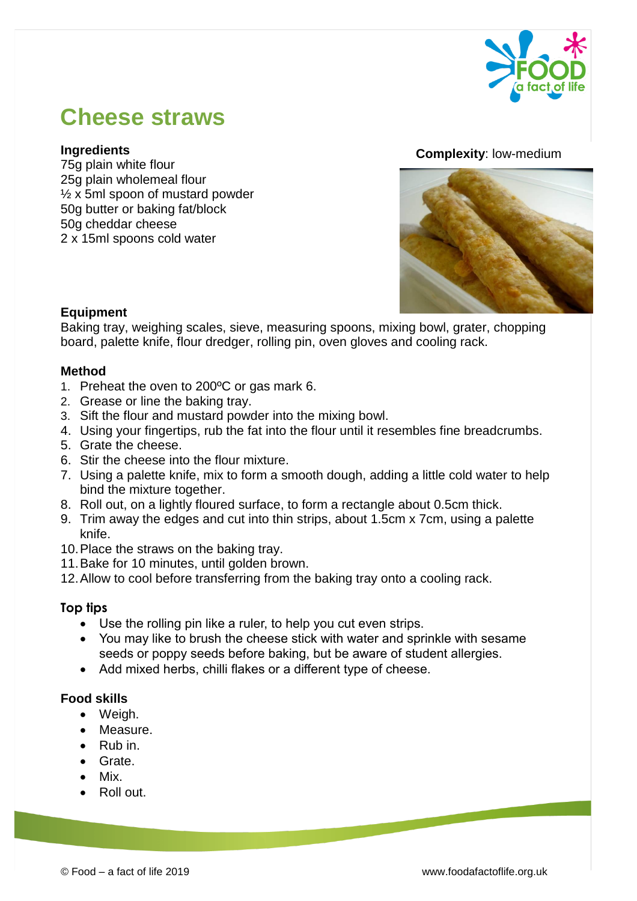

# **Cheese straws**

## **Ingredients**

75g plain white flour 25g plain wholemeal flour ½ x 5ml spoon of mustard powder 50g butter or baking fat/block 50g cheddar cheese 2 x 15ml spoons cold water

#### **Complexity**: low-medium



## **Equipment**

Baking tray, weighing scales, sieve, measuring spoons, mixing bowl, grater, chopping board, palette knife, flour dredger, rolling pin, oven gloves and cooling rack.

#### **Method**

- 1. Preheat the oven to 200ºC or gas mark 6.
- 2. Grease or line the baking tray.
- 3. Sift the flour and mustard powder into the mixing bowl.
- 4. Using your fingertips, rub the fat into the flour until it resembles fine breadcrumbs.
- 5. Grate the cheese.
- 6. Stir the cheese into the flour mixture.
- 7. Using a palette knife, mix to form a smooth dough, adding a little cold water to help bind the mixture together.
- 8. Roll out, on a lightly floured surface, to form a rectangle about 0.5cm thick.
- 9. Trim away the edges and cut into thin strips, about 1.5cm x 7cm, using a palette knife.
- 10.Place the straws on the baking tray.
- 11.Bake for 10 minutes, until golden brown.
- 12.Allow to cool before transferring from the baking tray onto a cooling rack.

## **Top tips**

- Use the rolling pin like a ruler, to help you cut even strips.
- You may like to brush the cheese stick with water and sprinkle with sesame seeds or poppy seeds before baking, but be aware of student allergies.
- Add mixed herbs, chilli flakes or a different type of cheese.

#### **Food skills**

- Weigh.
- Measure.
- Rub in.
- Grate.
- Mix.
- Roll out.